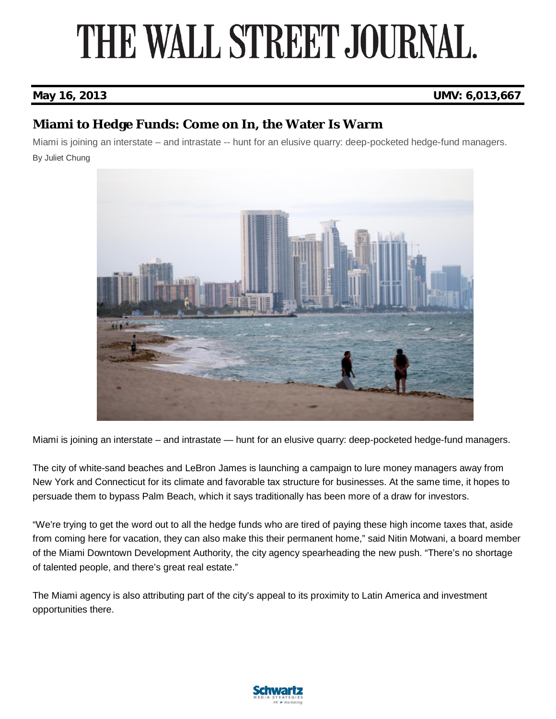## THE WALL STREET JOURNAL.

### **May 16, 2013 UMV: 6,013,667**

### **Miami to Hedge Funds: Come on In, the Water Is Warm**

Miami is joining an interstate – and intrastate -- hunt for an elusive quarry: deep-pocketed hedge-fund managers. By Juliet Chung



Miami is joining an interstate – and intrastate — hunt for an elusive quarry: deep-pocketed hedge-fund managers.

The city of white-sand beaches and LeBron James is launching a campaign to lure money managers away from New York and Connecticut for its climate and favorable tax structure for businesses. At the same time, it hopes to persuade them to bypass Palm Beach, which it says traditionally has been more of a draw for investors.

"We're trying to get the word out to all the hedge funds who are tired of paying these high income taxes that, aside from coming here for vacation, they can also make this their permanent home," said Nitin Motwani, a board member of the Miami Downtown Development Authority, the city agency spearheading the new push. "There's no shortage of talented people, and there's great real estate."

The Miami agency is also attributing part of the city's appeal to its proximity to Latin America and investment opportunities there.